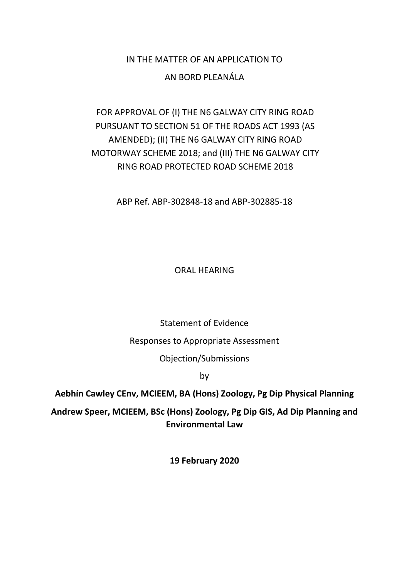# IN THE MATTER OF AN APPLICATION TO

## AN BORD PLEANÁLA

# FOR APPROVAL OF (I) THE N6 GALWAY CITY RING ROAD PURSUANT TO SECTION 51 OF THE ROADS ACT 1993 (AS AMENDED); (II) THE N6 GALWAY CITY RING ROAD MOTORWAY SCHEME 2018; and (III) THE N6 GALWAY CITY RING ROAD PROTECTED ROAD SCHEME 2018

ABP Ref. ABP-302848-18 and ABP-302885-18

ORAL HEARING

Statement of Evidence

Responses to Appropriate Assessment

Objection/Submissions

by

**Aebhín Cawley CEnv, MCIEEM, BA (Hons) Zoology, Pg Dip Physical Planning**

**Andrew Speer, MCIEEM, BSc (Hons) Zoology, Pg Dip GIS, Ad Dip Planning and Environmental Law**

**19 February 2020**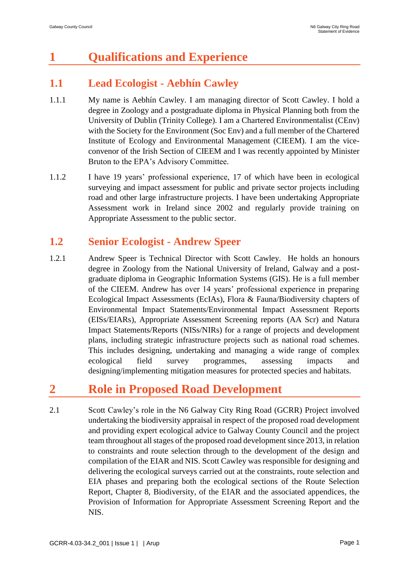# **1 Qualifications and Experience**

# **1.1 Lead Ecologist - Aebhín Cawley**

- 1.1.1 My name is Aebhín Cawley. I am managing director of Scott Cawley. I hold a degree in Zoology and a postgraduate diploma in Physical Planning both from the University of Dublin (Trinity College). I am a Chartered Environmentalist (CEnv) with the Society for the Environment (Soc Env) and a full member of the Chartered Institute of Ecology and Environmental Management (CIEEM). I am the viceconvenor of the Irish Section of CIEEM and I was recently appointed by Minister Bruton to the EPA's Advisory Committee.
- 1.1.2 I have 19 years' professional experience, 17 of which have been in ecological surveying and impact assessment for public and private sector projects including road and other large infrastructure projects. I have been undertaking Appropriate Assessment work in Ireland since 2002 and regularly provide training on Appropriate Assessment to the public sector.

# **1.2 Senior Ecologist - Andrew Speer**

1.2.1 Andrew Speer is Technical Director with Scott Cawley. He holds an honours degree in Zoology from the National University of Ireland, Galway and a postgraduate diploma in Geographic Information Systems (GIS). He is a full member of the CIEEM. Andrew has over 14 years' professional experience in preparing Ecological Impact Assessments (EcIAs), Flora & Fauna/Biodiversity chapters of Environmental Impact Statements/Environmental Impact Assessment Reports (EISs/EIARs), Appropriate Assessment Screening reports (AA Scr) and Natura Impact Statements/Reports (NISs/NIRs) for a range of projects and development plans, including strategic infrastructure projects such as national road schemes. This includes designing, undertaking and managing a wide range of complex ecological field survey programmes, assessing impacts and designing/implementing mitigation measures for protected species and habitats.

# **2 Role in Proposed Road Development**

2.1 Scott Cawley's role in the N6 Galway City Ring Road (GCRR) Project involved undertaking the biodiversity appraisal in respect of the proposed road development and providing expert ecological advice to Galway County Council and the project team throughout all stages of the proposed road development since 2013, in relation to constraints and route selection through to the development of the design and compilation of the EIAR and NIS. Scott Cawley was responsible for designing and delivering the ecological surveys carried out at the constraints, route selection and EIA phases and preparing both the ecological sections of the Route Selection Report, Chapter 8, Biodiversity, of the EIAR and the associated appendices, the Provision of Information for Appropriate Assessment Screening Report and the NIS.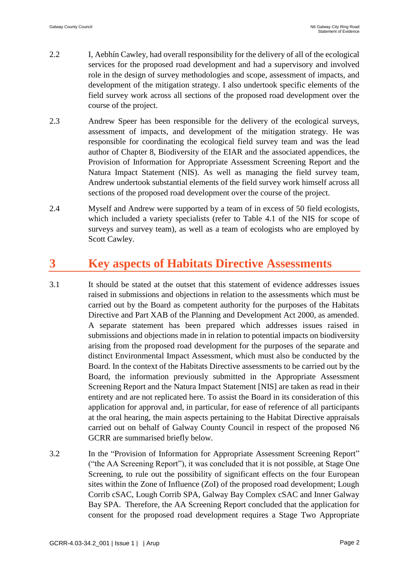- 2.2 I, Aebhín Cawley, had overall responsibility for the delivery of all of the ecological services for the proposed road development and had a supervisory and involved role in the design of survey methodologies and scope, assessment of impacts, and development of the mitigation strategy. I also undertook specific elements of the field survey work across all sections of the proposed road development over the course of the project.
- 2.3 Andrew Speer has been responsible for the delivery of the ecological surveys, assessment of impacts, and development of the mitigation strategy. He was responsible for coordinating the ecological field survey team and was the lead author of Chapter 8, Biodiversity of the EIAR and the associated appendices, the Provision of Information for Appropriate Assessment Screening Report and the Natura Impact Statement (NIS). As well as managing the field survey team, Andrew undertook substantial elements of the field survey work himself across all sections of the proposed road development over the course of the project.
- 2.4 Myself and Andrew were supported by a team of in excess of 50 field ecologists, which included a variety specialists (refer to Table 4.1 of the NIS for scope of surveys and survey team), as well as a team of ecologists who are employed by Scott Cawley.

# **3 Key aspects of Habitats Directive Assessments**

- 3.1 It should be stated at the outset that this statement of evidence addresses issues raised in submissions and objections in relation to the assessments which must be carried out by the Board as competent authority for the purposes of the Habitats Directive and Part XAB of the Planning and Development Act 2000, as amended. A separate statement has been prepared which addresses issues raised in submissions and objections made in in relation to potential impacts on biodiversity arising from the proposed road development for the purposes of the separate and distinct Environmental Impact Assessment, which must also be conducted by the Board. In the context of the Habitats Directive assessments to be carried out by the Board, the information previously submitted in the Appropriate Assessment Screening Report and the Natura Impact Statement [NIS] are taken as read in their entirety and are not replicated here. To assist the Board in its consideration of this application for approval and, in particular, for ease of reference of all participants at the oral hearing, the main aspects pertaining to the Habitat Directive appraisals carried out on behalf of Galway County Council in respect of the proposed N6 GCRR are summarised briefly below.
- 3.2 In the "Provision of Information for Appropriate Assessment Screening Report" ("the AA Screening Report"), it was concluded that it is not possible, at Stage One Screening, to rule out the possibility of significant effects on the four European sites within the Zone of Influence (ZoI) of the proposed road development; Lough Corrib cSAC, Lough Corrib SPA, Galway Bay Complex cSAC and Inner Galway Bay SPA. Therefore, the AA Screening Report concluded that the application for consent for the proposed road development requires a Stage Two Appropriate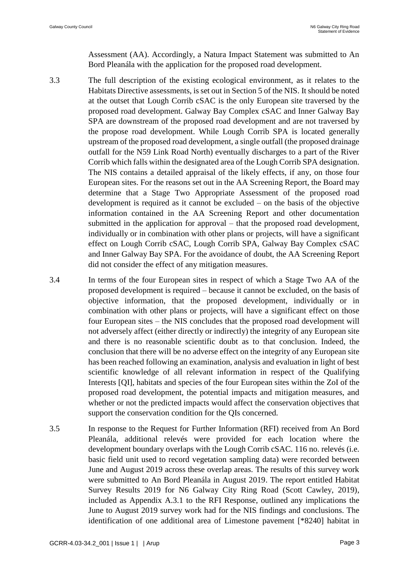Assessment (AA). Accordingly, a Natura Impact Statement was submitted to An Bord Pleanála with the application for the proposed road development.

- 3.3 The full description of the existing ecological environment, as it relates to the Habitats Directive assessments, is set out in Section 5 of the NIS. It should be noted at the outset that Lough Corrib cSAC is the only European site traversed by the proposed road development. Galway Bay Complex cSAC and Inner Galway Bay SPA are downstream of the proposed road development and are not traversed by the propose road development. While Lough Corrib SPA is located generally upstream of the proposed road development, a single outfall (the proposed drainage outfall for the N59 Link Road North) eventually discharges to a part of the River Corrib which falls within the designated area of the Lough Corrib SPA designation. The NIS contains a detailed appraisal of the likely effects, if any, on those four European sites. For the reasons set out in the AA Screening Report, the Board may determine that a Stage Two Appropriate Assessment of the proposed road development is required as it cannot be excluded – on the basis of the objective information contained in the AA Screening Report and other documentation submitted in the application for approval – that the proposed road development, individually or in combination with other plans or projects, will have a significant effect on Lough Corrib cSAC, Lough Corrib SPA, Galway Bay Complex cSAC and Inner Galway Bay SPA. For the avoidance of doubt, the AA Screening Report did not consider the effect of any mitigation measures.
- 3.4 In terms of the four European sites in respect of which a Stage Two AA of the proposed development is required – because it cannot be excluded, on the basis of objective information, that the proposed development, individually or in combination with other plans or projects, will have a significant effect on those four European sites – the NIS concludes that the proposed road development will not adversely affect (either directly or indirectly) the integrity of any European site and there is no reasonable scientific doubt as to that conclusion. Indeed, the conclusion that there will be no adverse effect on the integrity of any European site has been reached following an examination, analysis and evaluation in light of best scientific knowledge of all relevant information in respect of the Qualifying Interests [QI], habitats and species of the four European sites within the ZoI of the proposed road development, the potential impacts and mitigation measures, and whether or not the predicted impacts would affect the conservation objectives that support the conservation condition for the QIs concerned.
- 3.5 In response to the Request for Further Information (RFI) received from An Bord Pleanála, additional relevés were provided for each location where the development boundary overlaps with the Lough Corrib cSAC. 116 no. relevés (i.e. basic field unit used to record vegetation sampling data) were recorded between June and August 2019 across these overlap areas. The results of this survey work were submitted to An Bord Pleanála in August 2019. The report entitled Habitat Survey Results 2019 for N6 Galway City Ring Road (Scott Cawley, 2019), included as Appendix A.3.1 to the RFI Response, outlined any implications the June to August 2019 survey work had for the NIS findings and conclusions. The identification of one additional area of Limestone pavement [\*8240] habitat in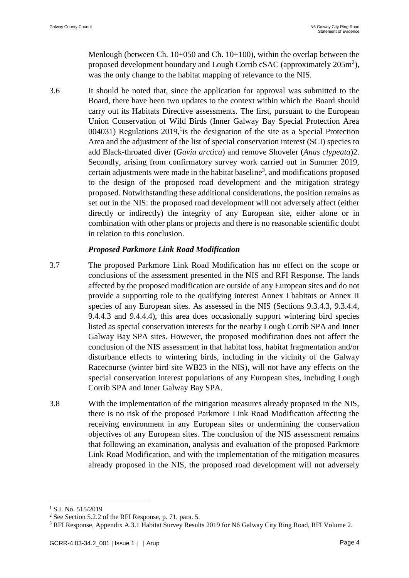Menlough (between Ch. 10+050 and Ch. 10+100), within the overlap between the proposed development boundary and Lough Corrib cSAC (approximately  $205m^2$ ), was the only change to the habitat mapping of relevance to the NIS.

3.6 It should be noted that, since the application for approval was submitted to the Board, there have been two updates to the context within which the Board should carry out its Habitats Directive assessments. The first, pursuant to the European Union Conservation of Wild Birds (Inner Galway Bay Special Protection Area  $004031$ ) Regulations  $2019$ , is the designation of the site as a Special Protection Area and the adjustment of the list of special conservation interest (SCI) species to add Black-throated diver (*Gavia arctica*) and remove Shoveler (*Anas clypeata*)2. Secondly, arising from confirmatory survey work carried out in Summer 2019, certain adjustments were made in the habitat baseline<sup>3</sup>, and modifications proposed to the design of the proposed road development and the mitigation strategy proposed. Notwithstanding these additional considerations, the position remains as set out in the NIS: the proposed road development will not adversely affect (either directly or indirectly) the integrity of any European site, either alone or in combination with other plans or projects and there is no reasonable scientific doubt in relation to this conclusion.

### *Proposed Parkmore Link Road Modification*

- 3.7 The proposed Parkmore Link Road Modification has no effect on the scope or conclusions of the assessment presented in the NIS and RFI Response. The lands affected by the proposed modification are outside of any European sites and do not provide a supporting role to the qualifying interest Annex I habitats or Annex II species of any European sites. As assessed in the NIS (Sections 9.3.4.3, 9.3.4.4, 9.4.4.3 and 9.4.4.4), this area does occasionally support wintering bird species listed as special conservation interests for the nearby Lough Corrib SPA and Inner Galway Bay SPA sites. However, the proposed modification does not affect the conclusion of the NIS assessment in that habitat loss, habitat fragmentation and/or disturbance effects to wintering birds, including in the vicinity of the Galway Racecourse (winter bird site WB23 in the NIS), will not have any effects on the special conservation interest populations of any European sites, including Lough Corrib SPA and Inner Galway Bay SPA.
- 3.8 With the implementation of the mitigation measures already proposed in the NIS, there is no risk of the proposed Parkmore Link Road Modification affecting the receiving environment in any European sites or undermining the conservation objectives of any European sites. The conclusion of the NIS assessment remains that following an examination, analysis and evaluation of the proposed Parkmore Link Road Modification, and with the implementation of the mitigation measures already proposed in the NIS, the proposed road development will not adversely

1

<sup>&</sup>lt;sup>1</sup> S.I. No. 515/2019

<sup>2</sup> See Section 5.2.2 of the RFI Response, p. 71, para. 5.

<sup>3</sup> RFI Response, Appendix A.3.1 Habitat Survey Results 2019 for N6 Galway City Ring Road, RFI Volume 2.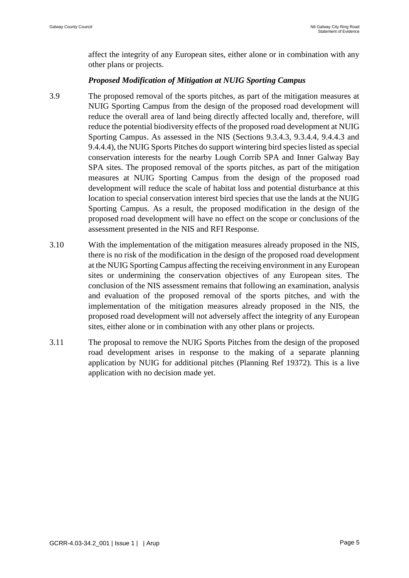affect the integrity of any European sites, either alone or in combination with any other plans or projects.

### *Proposed Modification of Mitigation at NUIG Sporting Campus*

- 3.9 The proposed removal of the sports pitches, as part of the mitigation measures at NUIG Sporting Campus from the design of the proposed road development will reduce the overall area of land being directly affected locally and, therefore, will reduce the potential biodiversity effects of the proposed road development at NUIG Sporting Campus. As assessed in the NIS (Sections 9.3.4.3, 9.3.4.4, 9.4.4.3 and 9.4.4.4), the NUIG Sports Pitches do support wintering bird species listed as special conservation interests for the nearby Lough Corrib SPA and Inner Galway Bay SPA sites. The proposed removal of the sports pitches, as part of the mitigation measures at NUIG Sporting Campus from the design of the proposed road development will reduce the scale of habitat loss and potential disturbance at this location to special conservation interest bird species that use the lands at the NUIG Sporting Campus. As a result, the proposed modification in the design of the proposed road development will have no effect on the scope or conclusions of the assessment presented in the NIS and RFI Response.
- 3.10 With the implementation of the mitigation measures already proposed in the NIS, there is no risk of the modification in the design of the proposed road development at the NUIG Sporting Campus affecting the receiving environment in any European sites or undermining the conservation objectives of any European sites. The conclusion of the NIS assessment remains that following an examination, analysis and evaluation of the proposed removal of the sports pitches, and with the implementation of the mitigation measures already proposed in the NIS, the proposed road development will not adversely affect the integrity of any European sites, either alone or in combination with any other plans or projects.
- 3.11 The proposal to remove the NUIG Sports Pitches from the design of the proposed road development arises in response to the making of a separate planning application by NUIG for additional pitches (Planning Ref 19372). This is a live application with no decision made yet.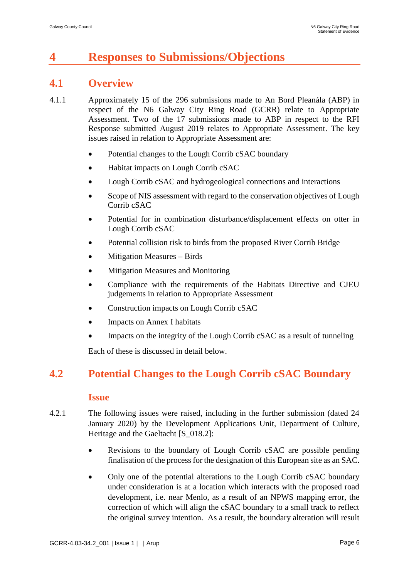# **4 Responses to Submissions/Objections**

## **4.1 Overview**

- 4.1.1 Approximately 15 of the 296 submissions made to An Bord Pleanála (ABP) in respect of the N6 Galway City Ring Road (GCRR) relate to Appropriate Assessment. Two of the 17 submissions made to ABP in respect to the RFI Response submitted August 2019 relates to Appropriate Assessment. The key issues raised in relation to Appropriate Assessment are:
	- Potential changes to the Lough Corrib cSAC boundary
	- Habitat impacts on Lough Corrib cSAC
	- Lough Corrib cSAC and hydrogeological connections and interactions
	- Scope of NIS assessment with regard to the conservation objectives of Lough Corrib cSAC
	- Potential for in combination disturbance/displacement effects on otter in Lough Corrib cSAC
	- Potential collision risk to birds from the proposed River Corrib Bridge
	- Mitigation Measures Birds
	- Mitigation Measures and Monitoring
	- Compliance with the requirements of the Habitats Directive and CJEU judgements in relation to Appropriate Assessment
	- Construction impacts on Lough Corrib cSAC
	- Impacts on Annex I habitats
	- Impacts on the integrity of the Lough Corrib cSAC as a result of tunneling

Each of these is discussed in detail below.

## **4.2 Potential Changes to the Lough Corrib cSAC Boundary**

### **Issue**

- 4.2.1 The following issues were raised, including in the further submission (dated 24 January 2020) by the Development Applications Unit, Department of Culture, Heritage and the Gaeltacht [S  $018.2$ ]:
	- Revisions to the boundary of Lough Corrib cSAC are possible pending finalisation of the process for the designation of this European site as an SAC.
	- Only one of the potential alterations to the Lough Corrib cSAC boundary under consideration is at a location which interacts with the proposed road development, i.e. near Menlo, as a result of an NPWS mapping error, the correction of which will align the cSAC boundary to a small track to reflect the original survey intention. As a result, the boundary alteration will result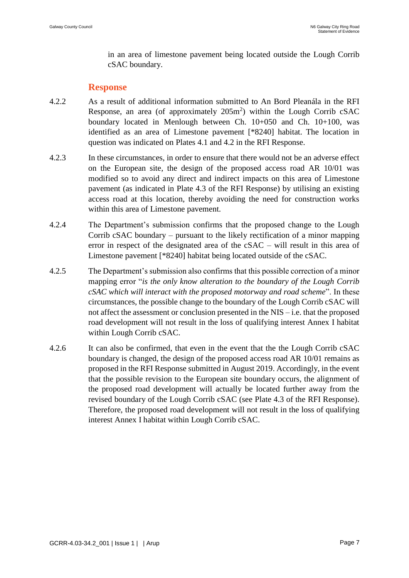in an area of limestone pavement being located outside the Lough Corrib cSAC boundary.

### **Response**

- 4.2.2 As a result of additional information submitted to An Bord Pleanála in the RFI Response, an area (of approximately  $205m^2$ ) within the Lough Corrib cSAC boundary located in Menlough between Ch. 10+050 and Ch. 10+100, was identified as an area of Limestone pavement [\*8240] habitat. The location in question was indicated on Plates 4.1 and 4.2 in the RFI Response.
- 4.2.3 In these circumstances, in order to ensure that there would not be an adverse effect on the European site, the design of the proposed access road AR 10/01 was modified so to avoid any direct and indirect impacts on this area of Limestone pavement (as indicated in Plate 4.3 of the RFI Response) by utilising an existing access road at this location, thereby avoiding the need for construction works within this area of Limestone pavement.
- 4.2.4 The Department's submission confirms that the proposed change to the Lough Corrib cSAC boundary – pursuant to the likely rectification of a minor mapping error in respect of the designated area of the cSAC – will result in this area of Limestone pavement [\*8240] habitat being located outside of the cSAC.
- 4.2.5 The Department's submission also confirms that this possible correction of a minor mapping error "*is the only know alteration to the boundary of the Lough Corrib cSAC which will interact with the proposed motorway and road scheme*". In these circumstances, the possible change to the boundary of the Lough Corrib cSAC will not affect the assessment or conclusion presented in the NIS – i.e. that the proposed road development will not result in the loss of qualifying interest Annex I habitat within Lough Corrib cSAC.
- 4.2.6 It can also be confirmed, that even in the event that the the Lough Corrib cSAC boundary is changed, the design of the proposed access road AR 10/01 remains as proposed in the RFI Response submitted in August 2019. Accordingly, in the event that the possible revision to the European site boundary occurs, the alignment of the proposed road development will actually be located further away from the revised boundary of the Lough Corrib cSAC (see Plate 4.3 of the RFI Response). Therefore, the proposed road development will not result in the loss of qualifying interest Annex I habitat within Lough Corrib cSAC.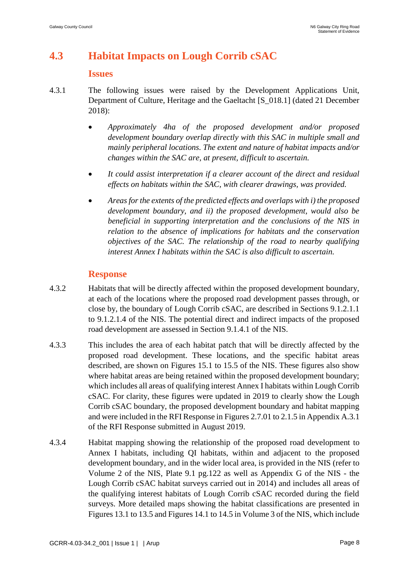# **4.3 Habitat Impacts on Lough Corrib cSAC**

#### **Issues**

- 4.3.1 The following issues were raised by the Development Applications Unit, Department of Culture, Heritage and the Gaeltacht [S\_018.1] (dated 21 December 2018):
	- *Approximately 4ha of the proposed development and/or proposed development boundary overlap directly with this SAC in multiple small and mainly peripheral locations. The extent and nature of habitat impacts and/or changes within the SAC are, at present, difficult to ascertain.*
	- *It could assist interpretation if a clearer account of the direct and residual effects on habitats within the SAC, with clearer drawings, was provided.*
	- *Areas for the extents of the predicted effects and overlaps with i) the proposed development boundary, and ii) the proposed development, would also be beneficial in supporting interpretation and the conclusions of the NIS in relation to the absence of implications for habitats and the conservation objectives of the SAC. The relationship of the road to nearby qualifying interest Annex I habitats within the SAC is also difficult to ascertain.*

### **Response**

- 4.3.2 Habitats that will be directly affected within the proposed development boundary, at each of the locations where the proposed road development passes through, or close by, the boundary of Lough Corrib cSAC, are described in Sections 9.1.2.1.1 to 9.1.2.1.4 of the NIS. The potential direct and indirect impacts of the proposed road development are assessed in Section 9.1.4.1 of the NIS.
- 4.3.3 This includes the area of each habitat patch that will be directly affected by the proposed road development. These locations, and the specific habitat areas described, are shown on Figures 15.1 to 15.5 of the NIS. These figures also show where habitat areas are being retained within the proposed development boundary; which includes all areas of qualifying interest Annex I habitats within Lough Corrib cSAC. For clarity, these figures were updated in 2019 to clearly show the Lough Corrib cSAC boundary, the proposed development boundary and habitat mapping and were included in the RFI Response in Figures 2.7.01 to 2.1.5 in Appendix A.3.1 of the RFI Response submitted in August 2019.
- 4.3.4 Habitat mapping showing the relationship of the proposed road development to Annex I habitats, including QI habitats, within and adjacent to the proposed development boundary, and in the wider local area, is provided in the NIS (refer to Volume 2 of the NIS, Plate 9.1 pg.122 as well as Appendix G of the NIS - the Lough Corrib cSAC habitat surveys carried out in 2014) and includes all areas of the qualifying interest habitats of Lough Corrib cSAC recorded during the field surveys. More detailed maps showing the habitat classifications are presented in Figures 13.1 to 13.5 and Figures 14.1 to 14.5 in Volume 3 of the NIS, which include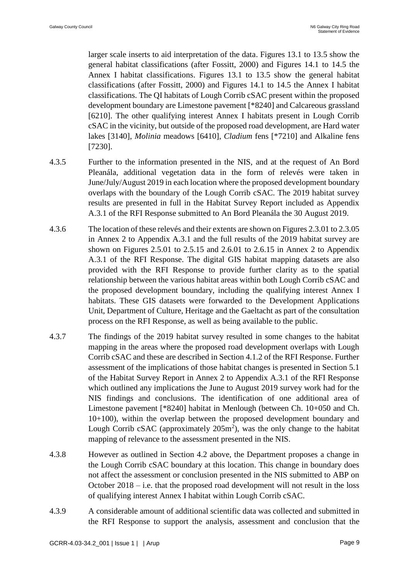larger scale inserts to aid interpretation of the data. Figures 13.1 to 13.5 show the general habitat classifications (after Fossitt, 2000) and Figures 14.1 to 14.5 the Annex I habitat classifications. Figures 13.1 to 13.5 show the general habitat classifications (after Fossitt, 2000) and Figures 14.1 to 14.5 the Annex I habitat classifications. The QI habitats of Lough Corrib cSAC present within the proposed development boundary are Limestone pavement [\*8240] and Calcareous grassland [6210]. The other qualifying interest Annex I habitats present in Lough Corrib cSAC in the vicinity, but outside of the proposed road development, are Hard water lakes [3140], *Molinia* meadows [6410], *Cladium* fens [\*7210] and Alkaline fens [7230].

- 4.3.5 Further to the information presented in the NIS, and at the request of An Bord Pleanála, additional vegetation data in the form of relevés were taken in June/July/August 2019 in each location where the proposed development boundary overlaps with the boundary of the Lough Corrib cSAC. The 2019 habitat survey results are presented in full in the Habitat Survey Report included as Appendix A.3.1 of the RFI Response submitted to An Bord Pleanála the 30 August 2019.
- 4.3.6 The location of these relevés and their extents are shown on Figures 2.3.01 to 2.3.05 in Annex 2 to Appendix A.3.1 and the full results of the 2019 habitat survey are shown on Figures 2.5.01 to 2.5.15 and 2.6.01 to 2.6.15 in Annex 2 to Appendix A.3.1 of the RFI Response. The digital GIS habitat mapping datasets are also provided with the RFI Response to provide further clarity as to the spatial relationship between the various habitat areas within both Lough Corrib cSAC and the proposed development boundary, including the qualifying interest Annex I habitats. These GIS datasets were forwarded to the Development Applications Unit, Department of Culture, Heritage and the Gaeltacht as part of the consultation process on the RFI Response, as well as being available to the public.
- 4.3.7 The findings of the 2019 habitat survey resulted in some changes to the habitat mapping in the areas where the proposed road development overlaps with Lough Corrib cSAC and these are described in Section 4.1.2 of the RFI Response. Further assessment of the implications of those habitat changes is presented in Section 5.1 of the Habitat Survey Report in Annex 2 to Appendix A.3.1 of the RFI Response which outlined any implications the June to August 2019 survey work had for the NIS findings and conclusions. The identification of one additional area of Limestone pavement [\*8240] habitat in Menlough (between Ch. 10+050 and Ch. 10+100), within the overlap between the proposed development boundary and Lough Corrib cSAC (approximately  $205m^2$ ), was the only change to the habitat mapping of relevance to the assessment presented in the NIS.
- 4.3.8 However as outlined in Section 4.2 above, the Department proposes a change in the Lough Corrib cSAC boundary at this location. This change in boundary does not affect the assessment or conclusion presented in the NIS submitted to ABP on October 2018 – i.e. that the proposed road development will not result in the loss of qualifying interest Annex I habitat within Lough Corrib cSAC.
- 4.3.9 A considerable amount of additional scientific data was collected and submitted in the RFI Response to support the analysis, assessment and conclusion that the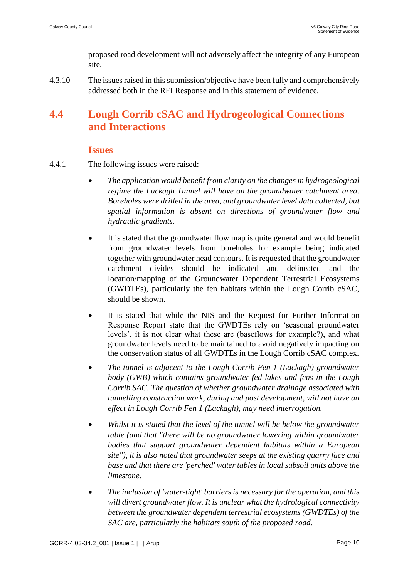proposed road development will not adversely affect the integrity of any European site.

4.3.10 The issues raised in this submission/objective have been fully and comprehensively addressed both in the RFI Response and in this statement of evidence.

# **4.4 Lough Corrib cSAC and Hydrogeological Connections and Interactions**

### **Issues**

- 4.4.1 The following issues were raised:
	- *The application would benefit from clarity on the changes in hydrogeological regime the Lackagh Tunnel will have on the groundwater catchment area. Boreholes were drilled in the area, and groundwater level data collected, but spatial information is absent on directions of groundwater flow and hydraulic gradients.*
	- It is stated that the groundwater flow map is quite general and would benefit from groundwater levels from boreholes for example being indicated together with groundwater head contours. It is requested that the groundwater catchment divides should be indicated and delineated and the location/mapping of the Groundwater Dependent Terrestrial Ecosystems (GWDTEs), particularly the fen habitats within the Lough Corrib cSAC, should be shown.
	- It is stated that while the NIS and the Request for Further Information Response Report state that the GWDTEs rely on 'seasonal groundwater levels', it is not clear what these are (baseflows for example?), and what groundwater levels need to be maintained to avoid negatively impacting on the conservation status of all GWDTEs in the Lough Corrib cSAC complex.
	- *The tunnel is adjacent to the Lough Corrib Fen 1 (Lackagh) groundwater body (GWB) which contains groundwater-fed lakes and fens in the Lough Corrib SAC. The question of whether groundwater drainage associated with tunnelling construction work, during and post development, will not have an effect in Lough Corrib Fen 1 (Lackagh), may need interrogation.*
	- *Whilst it is stated that the level of the tunnel will be below the groundwater table (and that "there will be no groundwater lowering within groundwater bodies that support groundwater dependent habitats within a European site"), it is also noted that groundwater seeps at the existing quarry face and base and that there are 'perched' water tables in local subsoil units above the limestone.*
	- *The inclusion of 'water-tight' barriers is necessary for the operation, and this will divert groundwater flow. It is unclear what the hydrological connectivity between the groundwater dependent terrestrial ecosystems (GWDTEs) of the SAC are, particularly the habitats south of the proposed road.*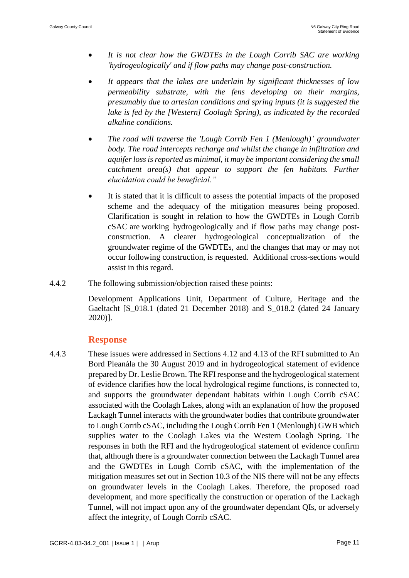- *It is not clear how the GWDTEs in the Lough Corrib SAC are working 'hydrogeologically' and if flow paths may change post-construction.*
- *It appears that the lakes are underlain by significant thicknesses of low permeability substrate, with the fens developing on their margins, presumably due to artesian conditions and spring inputs (it is suggested the lake is fed by the [Western] Coolagh Spring), as indicated by the recorded alkaline conditions.*
- *The road will traverse the 'Lough Corrib Fen 1 (Menlough)' groundwater body. The road intercepts recharge and whilst the change in infiltration and aquifer loss is reported as minimal, it may be important considering the small catchment area(s) that appear to support the fen habitats. Further elucidation could be beneficial."*
- It is stated that it is difficult to assess the potential impacts of the proposed scheme and the adequacy of the mitigation measures being proposed. Clarification is sought in relation to how the GWDTEs in Lough Corrib cSAC are working hydrogeologically and if flow paths may change postconstruction. A clearer hydrogeological conceptualization of the groundwater regime of the GWDTEs, and the changes that may or may not occur following construction, is requested. Additional cross-sections would assist in this regard.
- 4.4.2 The following submission/objection raised these points:

Development Applications Unit, Department of Culture, Heritage and the Gaeltacht [S\_018.1 (dated 21 December 2018) and S\_018.2 (dated 24 January 2020)].

## **Response**

4.4.3 These issues were addressed in Sections 4.12 and 4.13 of the RFI submitted to An Bord Pleanála the 30 August 2019 and in hydrogeological statement of evidence prepared by Dr. Leslie Brown. The RFI response and the hydrogeological statement of evidence clarifies how the local hydrological regime functions, is connected to, and supports the groundwater dependant habitats within Lough Corrib cSAC associated with the Coolagh Lakes, along with an explanation of how the proposed Lackagh Tunnel interacts with the groundwater bodies that contribute groundwater to Lough Corrib cSAC, including the Lough Corrib Fen 1 (Menlough) GWB which supplies water to the Coolagh Lakes via the Western Coolagh Spring. The responses in both the RFI and the hydrogeological statement of evidence confirm that, although there is a groundwater connection between the Lackagh Tunnel area and the GWDTEs in Lough Corrib cSAC, with the implementation of the mitigation measures set out in Section 10.3 of the NIS there will not be any effects on groundwater levels in the Coolagh Lakes. Therefore, the proposed road development, and more specifically the construction or operation of the Lackagh Tunnel, will not impact upon any of the groundwater dependant QIs, or adversely affect the integrity, of Lough Corrib cSAC.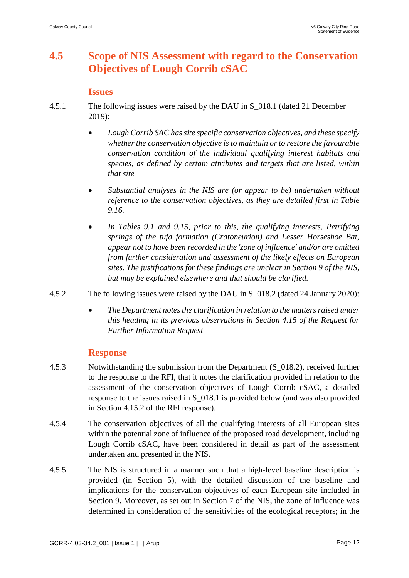# **4.5 Scope of NIS Assessment with regard to the Conservation Objectives of Lough Corrib cSAC**

### **Issues**

- 4.5.1 The following issues were raised by the DAU in S\_018.1 (dated 21 December 2019):
	- *Lough Corrib SAC has site specific conservation objectives, and these specify whether the conservation objective is to maintain or to restore the favourable conservation condition of the individual qualifying interest habitats and species, as defined by certain attributes and targets that are listed, within that site*
	- *Substantial analyses in the NIS are (or appear to be) undertaken without reference to the conservation objectives, as they are detailed first in Table 9.16.*
	- *In Tables 9.1 and 9.15, prior to this, the qualifying interests, Petrifying springs of the tufa formation (Cratoneurion) and Lesser Horseshoe Bat, appear not to have been recorded in the 'zone of influence' and/or are omitted from further consideration and assessment of the likely effects on European sites. The justifications for these findings are unclear in Section 9 of the NIS, but may be explained elsewhere and that should be clarified.*
- 4.5.2 The following issues were raised by the DAU in S\_018.2 (dated 24 January 2020):
	- *The Department notes the clarification in relation to the matters raised under this heading in its previous observations in Section 4.15 of the Request for Further Information Request*

### **Response**

- 4.5.3 Notwithstanding the submission from the Department (S\_018.2), received further to the response to the RFI, that it notes the clarification provided in relation to the assessment of the conservation objectives of Lough Corrib cSAC, a detailed response to the issues raised in S\_018.1 is provided below (and was also provided in Section 4.15.2 of the RFI response).
- 4.5.4 The conservation objectives of all the qualifying interests of all European sites within the potential zone of influence of the proposed road development, including Lough Corrib cSAC, have been considered in detail as part of the assessment undertaken and presented in the NIS.
- 4.5.5 The NIS is structured in a manner such that a high-level baseline description is provided (in Section 5), with the detailed discussion of the baseline and implications for the conservation objectives of each European site included in Section 9. Moreover, as set out in Section 7 of the NIS, the zone of influence was determined in consideration of the sensitivities of the ecological receptors; in the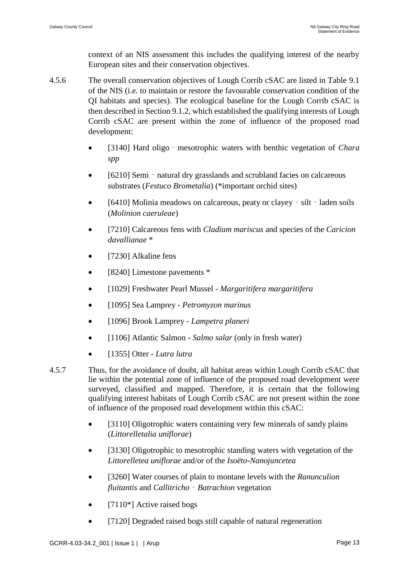context of an NIS assessment this includes the qualifying interest of the nearby European sites and their conservation objectives.

- 4.5.6 The overall conservation objectives of Lough Corrib cSAC are listed in Table 9.1 of the NIS (i.e. to maintain or restore the favourable conservation condition of the QI habitats and species). The ecological baseline for the Lough Corrib cSAC is then described in Section 9.1.2, which established the qualifying interests of Lough Corrib cSAC are present within the zone of influence of the proposed road development:
	- [3140] Hard oligo‐mesotrophic waters with benthic vegetation of *Chara spp*
	- [6210] Semi natural dry grasslands and scrubland facies on calcareous substrates (*Festuco Brometalia*) (\*important orchid sites)
	- [6410] Molinia meadows on calcareous, peaty or clayey silt laden soils (*Molinion caeruleae*)
	- [7210] Calcareous fens with *Cladium mariscus* and species of the *Caricion davallianae* \*
	- [7230] Alkaline fens
	- [8240] Limestone pavements  $*$
	- [1029] Freshwater Pearl Mussel *Margaritifera margaritifera*
	- [1095] Sea Lamprey *Petromyzon marinus*
	- [1096] Brook Lamprey *Lampetra planeri*
	- [1106] Atlantic Salmon *Salmo salar* (only in fresh water)
	- [1355] Otter *Lutra lutra*
- 4.5.7 Thus, for the avoidance of doubt, all habitat areas within Lough Corrib cSAC that lie within the potential zone of influence of the proposed road development were surveyed, classified and mapped. Therefore, it is certain that the following qualifying interest habitats of Lough Corrib cSAC are not present within the zone of influence of the proposed road development within this cSAC:
	- [3110] Oligotrophic waters containing very few minerals of sandy plains (*Littorelletalia uniflorae*)
	- [3130] Oligotrophic to mesotrophic standing waters with vegetation of the *Littorelletea uniflorae* and/or of the *Isoëto-Nanojuncetea*
	- [3260] Water courses of plain to montane levels with the *Ranunculion fluitantis* and *Callitricho*‐*Batrachion* vegetation
	- $[7110*]$  Active raised bogs
	- [7120] Degraded raised bogs still capable of natural regeneration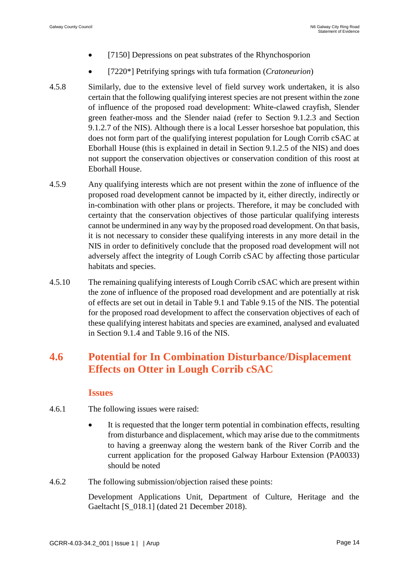- [7150] Depressions on peat substrates of the Rhynchosporion
- [7220\*] Petrifying springs with tufa formation (*Cratoneurion*)
- 4.5.8 Similarly, due to the extensive level of field survey work undertaken, it is also certain that the following qualifying interest species are not present within the zone of influence of the proposed road development: White-clawed crayfish, Slender green feather-moss and the Slender naiad (refer to Section 9.1.2.3 and Section 9.1.2.7 of the NIS). Although there is a local Lesser horseshoe bat population, this does not form part of the qualifying interest population for Lough Corrib cSAC at Eborhall House (this is explained in detail in Section 9.1.2.5 of the NIS) and does not support the conservation objectives or conservation condition of this roost at Eborhall House.
- 4.5.9 Any qualifying interests which are not present within the zone of influence of the proposed road development cannot be impacted by it, either directly, indirectly or in-combination with other plans or projects. Therefore, it may be concluded with certainty that the conservation objectives of those particular qualifying interests cannot be undermined in any way by the proposed road development. On that basis, it is not necessary to consider these qualifying interests in any more detail in the NIS in order to definitively conclude that the proposed road development will not adversely affect the integrity of Lough Corrib cSAC by affecting those particular habitats and species.
- 4.5.10 The remaining qualifying interests of Lough Corrib cSAC which are present within the zone of influence of the proposed road development and are potentially at risk of effects are set out in detail in Table 9.1 and Table 9.15 of the NIS. The potential for the proposed road development to affect the conservation objectives of each of these qualifying interest habitats and species are examined, analysed and evaluated in Section 9.1.4 and Table 9.16 of the NIS.

# **4.6 Potential for In Combination Disturbance/Displacement Effects on Otter in Lough Corrib cSAC**

### **Issues**

- 4.6.1 The following issues were raised:
	- It is requested that the longer term potential in combination effects, resulting from disturbance and displacement, which may arise due to the commitments to having a greenway along the western bank of the River Corrib and the current application for the proposed Galway Harbour Extension (PA0033) should be noted
- 4.6.2 The following submission/objection raised these points:

Development Applications Unit, Department of Culture, Heritage and the Gaeltacht [S\_018.1] (dated 21 December 2018).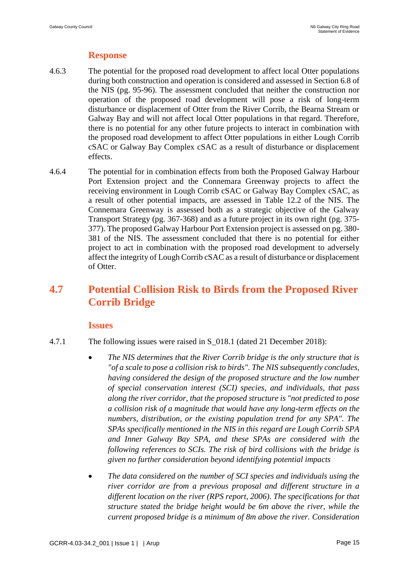## **Response**

- 4.6.3 The potential for the proposed road development to affect local Otter populations during both construction and operation is considered and assessed in Section 6.8 of the NIS (pg. 95-96). The assessment concluded that neither the construction nor operation of the proposed road development will pose a risk of long-term disturbance or displacement of Otter from the River Corrib, the Bearna Stream or Galway Bay and will not affect local Otter populations in that regard. Therefore, there is no potential for any other future projects to interact in combination with the proposed road development to affect Otter populations in either Lough Corrib cSAC or Galway Bay Complex cSAC as a result of disturbance or displacement effects.
- 4.6.4 The potential for in combination effects from both the Proposed Galway Harbour Port Extension project and the Connemara Greenway projects to affect the receiving environment in Lough Corrib cSAC or Galway Bay Complex cSAC, as a result of other potential impacts, are assessed in Table 12.2 of the NIS. The Connemara Greenway is assessed both as a strategic objective of the Galway Transport Strategy (pg. 367-368) and as a future project in its own right (pg. 375- 377). The proposed Galway Harbour Port Extension project is assessed on pg. 380- 381 of the NIS. The assessment concluded that there is no potential for either project to act in combination with the proposed road development to adversely affect the integrity of Lough Corrib cSAC as a result of disturbance or displacement of Otter.

# **4.7 Potential Collision Risk to Birds from the Proposed River Corrib Bridge**

### **Issues**

- 4.7.1 The following issues were raised in S\_018.1 (dated 21 December 2018):
	- *The NIS determines that the River Corrib bridge is the only structure that is "of a scale to pose a collision risk to birds". The NIS subsequently concludes, having considered the design of the proposed structure and the low number of special conservation interest (SCI) species, and individuals, that pass along the river corridor, that the proposed structure is "not predicted to pose a collision risk of a magnitude that would have any long-term effects on the numbers, distribution, or the existing population trend for any SPA". The SPAs specifically mentioned in the NIS in this regard are Lough Corrib SPA and Inner Galway Bay SPA, and these SPAs are considered with the following references to SCIs. The risk of bird collisions with the bridge is given no further consideration beyond identifying potential impacts*
	- *The data considered on the number of SCI species and individuals using the river corridor are from a previous proposal and different structure in a different location on the river (RPS report, 2006). The specifications for that structure stated the bridge height would be 6m above the river, while the current proposed bridge is a minimum of 8m above the river. Consideration*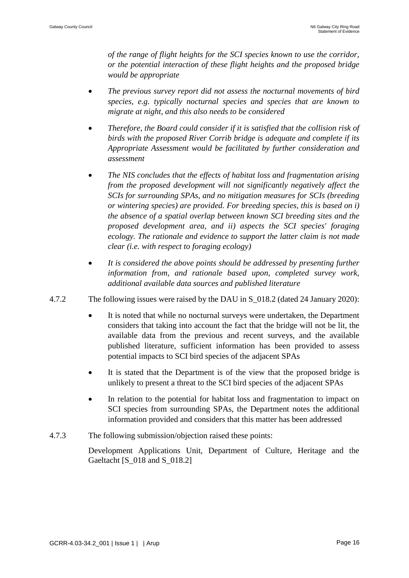*of the range of flight heights for the SCI species known to use the corridor, or the potential interaction of these flight heights and the proposed bridge would be appropriate*

- *The previous survey report did not assess the nocturnal movements of bird species, e.g. typically nocturnal species and species that are known to migrate at night, and this also needs to be considered*
- *Therefore, the Board could consider if it is satisfied that the collision risk of birds with the proposed River Corrib bridge is adequate and complete if its Appropriate Assessment would be facilitated by further consideration and assessment*
- *The NIS concludes that the effects of habitat loss and fragmentation arising from the proposed development will not significantly negatively affect the SCIs for surrounding SPAs, and no mitigation measures for SCIs (breeding or wintering species) are provided. For breeding species, this is based on i) the absence of a spatial overlap between known SCI breeding sites and the proposed development area, and ii) aspects the SCI species' foraging ecology. The rationale and evidence to support the latter claim is not made clear (i.e. with respect to foraging ecology)*
- *It is considered the above points should be addressed by presenting further information from, and rationale based upon, completed survey work, additional available data sources and published literature*
- 4.7.2 The following issues were raised by the DAU in S\_018.2 (dated 24 January 2020):
	- It is noted that while no nocturnal surveys were undertaken, the Department considers that taking into account the fact that the bridge will not be lit, the available data from the previous and recent surveys, and the available published literature, sufficient information has been provided to assess potential impacts to SCI bird species of the adjacent SPAs
	- It is stated that the Department is of the view that the proposed bridge is unlikely to present a threat to the SCI bird species of the adjacent SPAs
	- In relation to the potential for habitat loss and fragmentation to impact on SCI species from surrounding SPAs, the Department notes the additional information provided and considers that this matter has been addressed
- 4.7.3 The following submission/objection raised these points:

Development Applications Unit, Department of Culture, Heritage and the Gaeltacht [S\_018 and S\_018.2]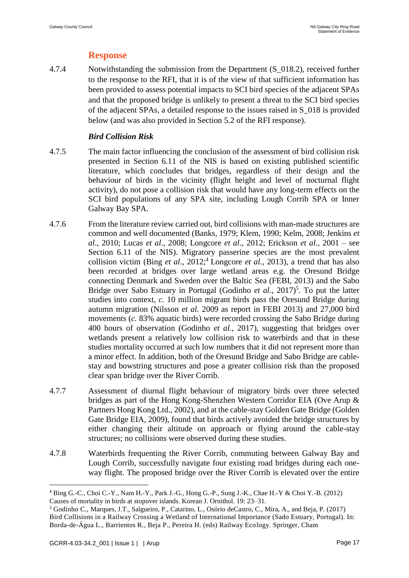## **Response**

4.7.4 Notwithstanding the submission from the Department (S\_018.2), received further to the response to the RFI, that it is of the view of that sufficient information has been provided to assess potential impacts to SCI bird species of the adjacent SPAs and that the proposed bridge is unlikely to present a threat to the SCI bird species of the adjacent SPAs, a detailed response to the issues raised in S\_018 is provided below (and was also provided in Section 5.2 of the RFI response).

### *Bird Collision Risk*

- 4.7.5 The main factor influencing the conclusion of the assessment of bird collision risk presented in Section 6.11 of the NIS is based on existing published scientific literature, which concludes that bridges, regardless of their design and the behaviour of birds in the vicinity (flight height and level of nocturnal flight activity), do not pose a collision risk that would have any long-term effects on the SCI bird populations of any SPA site, including Lough Corrib SPA or Inner Galway Bay SPA.
- 4.7.6 From the literature review carried out, bird collisions with man-made structures are common and well documented (Banks, 1979; Klem, 1990; Kelm, 2008; Jenkins *et al*., 2010; Lucas *et al*., 2008; Longcore *et al*., 2012; Erickson *et al*., 2001 – see Section 6.11 of the NIS). Migratory passerine species are the most prevalent collision victim (Bing *et al.*, 2012;<sup>4</sup> Longcore *et al.*, 2013), a trend that has also been recorded at bridges over large wetland areas e.g. the Oresund Bridge connecting Denmark and Sweden over the Baltic Sea (FEBI, 2013) and the Sabo Bridge over Sabo Estuary in Portugal (Godinho *et al.*, 2017)<sup>5</sup>. To put the latter studies into context, *c.* 10 million migrant birds pass the Oresund Bridge during autumn migration (Nilsson *et al.* 2009 as report in FEBI 2013) and 27,000 bird movements (*c.* 83% aquatic birds) were recorded crossing the Sabo Bridge during 400 hours of observation (Godinho *et al.*, 2017), suggesting that bridges over wetlands present a relatively low collision risk to waterbirds and that in these studies mortality occurred at such low numbers that it did not represent more than a minor effect. In addition, both of the Oresund Bridge and Sabo Bridge are cablestay and bowstring structures and pose a greater collision risk than the proposed clear span bridge over the River Corrib.
- 4.7.7 Assessment of diurnal flight behaviour of migratory birds over three selected bridges as part of the Hong Kong-Shenzhen Western Corridor EIA (Ove Arup & Partners Hong Kong Ltd., 2002), and at the cable-stay Golden Gate Bridge (Golden Gate Bridge EIA, 2009), found that birds actively avoided the bridge structures by either changing their altitude on approach or flying around the cable-stay structures; no collisions were observed during these studies.
- 4.7.8 Waterbirds frequenting the River Corrib, commuting between Galway Bay and Lough Corrib, successfully navigate four existing road bridges during each oneway flight. The proposed bridge over the River Corrib is elevated over the entire

<u>.</u>

<sup>4</sup> Bing G.-C., Choi C.-Y., Nam H.-Y., Park J.-G., Hong G.-P., Sung J.-K., Chae H.-Y & Choi Y.-B. (2012) Causes of mortality in birds at stopover islands. Korean J. Ornithol. 19: 23–31.

<sup>5</sup> Godinho C., Marques, J.T., Salgueiro, P., Catarino, L., Osório deCastro, C., Mira, A., and Beja, P. (2017) Bird Collisions in a Railway Crossing a Wetland of International Importance (Sado Estuary, Portugal). In: Borda-de-Água L., Barrientos R., Beja P., Pereira H. (eds) Railway Ecology. Springer, Cham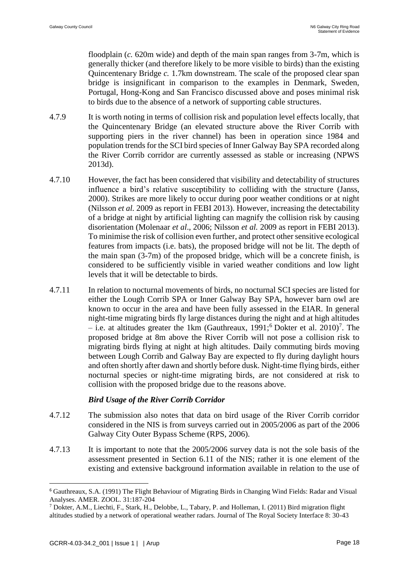floodplain (*c.* 620m wide) and depth of the main span ranges from 3-7m, which is generally thicker (and therefore likely to be more visible to birds) than the existing Quincentenary Bridge *c.* 1.7km downstream. The scale of the proposed clear span bridge is insignificant in comparison to the examples in Denmark, Sweden, Portugal, Hong-Kong and San Francisco discussed above and poses minimal risk to birds due to the absence of a network of supporting cable structures.

- 4.7.9 It is worth noting in terms of collision risk and population level effects locally, that the Quincentenary Bridge (an elevated structure above the River Corrib with supporting piers in the river channel) has been in operation since 1984 and population trends for the SCI bird species of Inner Galway Bay SPA recorded along the River Corrib corridor are currently assessed as stable or increasing (NPWS 2013d).
- 4.7.10 However, the fact has been considered that visibility and detectability of structures influence a bird's relative susceptibility to colliding with the structure (Janss, 2000). Strikes are more likely to occur during poor weather conditions or at night (Nilsson *et al.* 2009 as report in FEBI 2013). However, increasing the detectability of a bridge at night by artificial lighting can magnify the collision risk by causing disorientation (Molenaar *et al*., 2006; Nilsson *et al.* 2009 as report in FEBI 2013). To minimise the risk of collision even further, and protect other sensitive ecological features from impacts (i.e. bats), the proposed bridge will not be lit. The depth of the main span  $(3-7m)$  of the proposed bridge, which will be a concrete finish, is considered to be sufficiently visible in varied weather conditions and low light levels that it will be detectable to birds.
- 4.7.11 In relation to nocturnal movements of birds, no nocturnal SCI species are listed for either the Lough Corrib SPA or Inner Galway Bay SPA, however barn owl are known to occur in the area and have been fully assessed in the EIAR. In general night-time migrating birds fly large distances during the night and at high altitudes  $-$  i.e. at altitudes greater the 1km (Gauthreaux, 1991;<sup>6</sup> Dokter et al. 2010)<sup>7</sup>. The proposed bridge at 8m above the River Corrib will not pose a collision risk to migrating birds flying at night at high altitudes. Daily commuting birds moving between Lough Corrib and Galway Bay are expected to fly during daylight hours and often shortly after dawn and shortly before dusk. Night-time flying birds, either nocturnal species or night-time migrating birds, are not considered at risk to collision with the proposed bridge due to the reasons above.

### *Bird Usage of the River Corrib Corridor*

- 4.7.12 The submission also notes that data on bird usage of the River Corrib corridor considered in the NIS is from surveys carried out in 2005/2006 as part of the 2006 Galway City Outer Bypass Scheme (RPS, 2006).
- 4.7.13 It is important to note that the 2005/2006 survey data is not the sole basis of the assessment presented in Section 6.11 of the NIS; rather it is one element of the existing and extensive background information available in relation to the use of

<u>.</u>

<sup>6</sup> Gauthreaux, S.A. (1991) The Flight Behaviour of Migrating Birds in Changing Wind Fields: Radar and Visual Analyses. AMER. ZOOL. 31:187-204

<sup>7</sup> Dokter, A.M., Liechti, F., Stark, H., Delobbe, L., Tabary, P. and Holleman, I. (2011) Bird migration flight altitudes studied by a network of operational weather radars. Journal of The Royal Society Interface 8: 30-43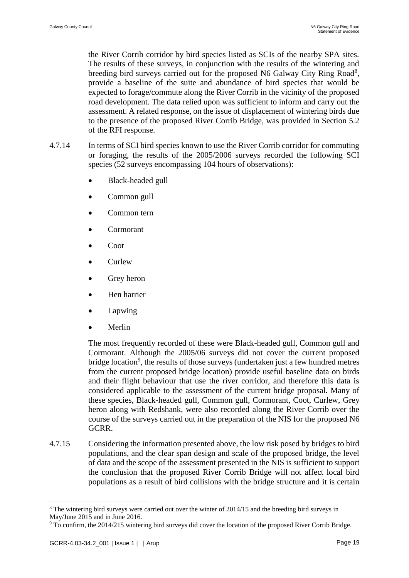the River Corrib corridor by bird species listed as SCIs of the nearby SPA sites. The results of these surveys, in conjunction with the results of the wintering and breeding bird surveys carried out for the proposed N6 Galway City Ring Road<sup>8</sup>, provide a baseline of the suite and abundance of bird species that would be expected to forage/commute along the River Corrib in the vicinity of the proposed road development. The data relied upon was sufficient to inform and carry out the assessment. A related response, on the issue of displacement of wintering birds due to the presence of the proposed River Corrib Bridge, was provided in Section 5.2 of the RFI response.

- 4.7.14 In terms of SCI bird species known to use the River Corrib corridor for commuting or foraging, the results of the 2005/2006 surveys recorded the following SCI species (52 surveys encompassing 104 hours of observations):
	- Black-headed gull
	- Common gull
	- Common tern
	- Cormorant
	- Coot
	- Curlew
	- Grey heron
	- Hen harrier
	- **Lapwing**
	- Merlin

The most frequently recorded of these were Black-headed gull, Common gull and Cormorant. Although the 2005/06 surveys did not cover the current proposed bridge location<sup>9</sup>, the results of those surveys (undertaken just a few hundred metres from the current proposed bridge location) provide useful baseline data on birds and their flight behaviour that use the river corridor, and therefore this data is considered applicable to the assessment of the current bridge proposal. Many of these species, Black-headed gull, Common gull, Cormorant, Coot, Curlew, Grey heron along with Redshank, were also recorded along the River Corrib over the course of the surveys carried out in the preparation of the NIS for the proposed N6 GCRR.

4.7.15 Considering the information presented above, the low risk posed by bridges to bird populations, and the clear span design and scale of the proposed bridge, the level of data and the scope of the assessment presented in the NIS is sufficient to support the conclusion that the proposed River Corrib Bridge will not affect local bird populations as a result of bird collisions with the bridge structure and it is certain

1

<sup>8</sup> The wintering bird surveys were carried out over the winter of 2014/15 and the breeding bird surveys in May/June 2015 and in June 2016.

<sup>9</sup> To confirm, the 2014/215 wintering bird surveys did cover the location of the proposed River Corrib Bridge.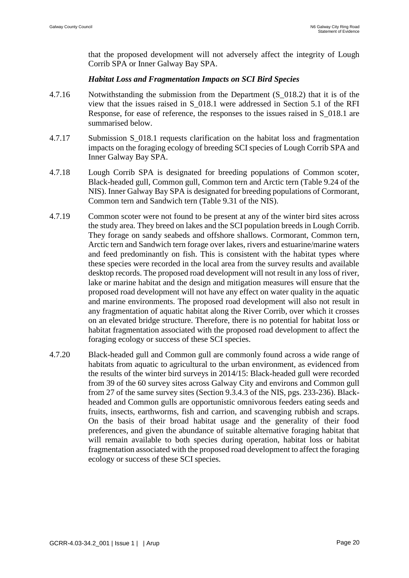that the proposed development will not adversely affect the integrity of Lough Corrib SPA or Inner Galway Bay SPA.

#### *Habitat Loss and Fragmentation Impacts on SCI Bird Species*

- 4.7.16 Notwithstanding the submission from the Department (S\_018.2) that it is of the view that the issues raised in S\_018.1 were addressed in Section 5.1 of the RFI Response, for ease of reference, the responses to the issues raised in S\_018.1 are summarised below.
- 4.7.17 Submission S\_018.1 requests clarification on the habitat loss and fragmentation impacts on the foraging ecology of breeding SCI species of Lough Corrib SPA and Inner Galway Bay SPA.
- 4.7.18 Lough Corrib SPA is designated for breeding populations of Common scoter, Black-headed gull, Common gull, Common tern and Arctic tern (Table 9.24 of the NIS). Inner Galway Bay SPA is designated for breeding populations of Cormorant, Common tern and Sandwich tern (Table 9.31 of the NIS).
- 4.7.19 Common scoter were not found to be present at any of the winter bird sites across the study area. They breed on lakes and the SCI population breeds in Lough Corrib. They forage on sandy seabeds and offshore shallows. Cormorant, Common tern, Arctic tern and Sandwich tern forage over lakes, rivers and estuarine/marine waters and feed predominantly on fish. This is consistent with the habitat types where these species were recorded in the local area from the survey results and available desktop records. The proposed road development will not result in any loss of river, lake or marine habitat and the design and mitigation measures will ensure that the proposed road development will not have any effect on water quality in the aquatic and marine environments. The proposed road development will also not result in any fragmentation of aquatic habitat along the River Corrib, over which it crosses on an elevated bridge structure. Therefore, there is no potential for habitat loss or habitat fragmentation associated with the proposed road development to affect the foraging ecology or success of these SCI species.
- 4.7.20 Black-headed gull and Common gull are commonly found across a wide range of habitats from aquatic to agricultural to the urban environment, as evidenced from the results of the winter bird surveys in 2014/15: Black-headed gull were recorded from 39 of the 60 survey sites across Galway City and environs and Common gull from 27 of the same survey sites (Section 9.3.4.3 of the NIS, pgs. 233-236). Blackheaded and Common gulls are opportunistic omnivorous feeders eating seeds and fruits, insects, earthworms, fish and carrion, and scavenging rubbish and scraps. On the basis of their broad habitat usage and the generality of their food preferences, and given the abundance of suitable alternative foraging habitat that will remain available to both species during operation, habitat loss or habitat fragmentation associated with the proposed road development to affect the foraging ecology or success of these SCI species.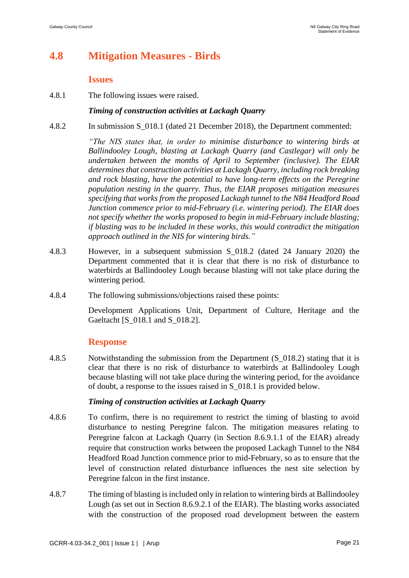# **4.8 Mitigation Measures - Birds**

### **Issues**

4.8.1 The following issues were raised.

### *Timing of construction activities at Lackagh Quarry*

4.8.2 In submission S\_018.1 (dated 21 December 2018), the Department commented:

*"The NIS states that, in order to minimise disturbance to wintering birds at Ballindooley Lough, blasting at Lackagh Quarry (and Castlegar) will only be undertaken between the months of April to September (inclusive). The EIAR determines that construction activities at Lackagh Quarry, including rock breaking and rock blasting, have the potential to have long-term effects on the Peregrine population nesting in the quarry. Thus, the EIAR proposes mitigation measures specifying that works from the proposed Lackagh tunnel to the N84 Headford Road Junction commence prior to mid-February (i.e. wintering period). The EIAR does not specify whether the works proposed to begin in mid-February include blasting; if blasting was to be included in these works, this would contradict the mitigation approach outlined in the NIS for wintering birds."*

- 4.8.3 However, in a subsequent submission S\_018.2 (dated 24 January 2020) the Department commented that it is clear that there is no risk of disturbance to waterbirds at Ballindooley Lough because blasting will not take place during the wintering period.
- 4.8.4 The following submissions/objections raised these points:

Development Applications Unit, Department of Culture, Heritage and the Gaeltacht [S\_018.1 and S\_018.2].

### **Response**

4.8.5 Notwithstanding the submission from the Department (S 018.2) stating that it is clear that there is no risk of disturbance to waterbirds at Ballindooley Lough because blasting will not take place during the wintering period, for the avoidance of doubt, a response to the issues raised in S\_018.1 is provided below.

### *Timing of construction activities at Lackagh Quarry*

- 4.8.6 To confirm, there is no requirement to restrict the timing of blasting to avoid disturbance to nesting Peregrine falcon. The mitigation measures relating to Peregrine falcon at Lackagh Quarry (in Section 8.6.9.1.1 of the EIAR) already require that construction works between the proposed Lackagh Tunnel to the N84 Headford Road Junction commence prior to mid-February, so as to ensure that the level of construction related disturbance influences the nest site selection by Peregrine falcon in the first instance.
- 4.8.7 The timing of blasting is included only in relation to wintering birds at Ballindooley Lough (as set out in Section 8.6.9.2.1 of the EIAR). The blasting works associated with the construction of the proposed road development between the eastern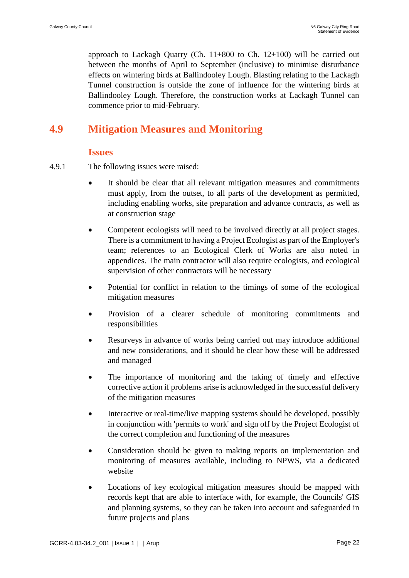approach to Lackagh Quarry (Ch.  $11+800$  to Ch.  $12+100$ ) will be carried out between the months of April to September (inclusive) to minimise disturbance effects on wintering birds at Ballindooley Lough. Blasting relating to the Lackagh Tunnel construction is outside the zone of influence for the wintering birds at Ballindooley Lough. Therefore, the construction works at Lackagh Tunnel can commence prior to mid-February.

# **4.9 Mitigation Measures and Monitoring**

### **Issues**

- 4.9.1 The following issues were raised:
	- It should be clear that all relevant mitigation measures and commitments must apply, from the outset, to all parts of the development as permitted, including enabling works, site preparation and advance contracts, as well as at construction stage
	- Competent ecologists will need to be involved directly at all project stages. There is a commitment to having a Project Ecologist as part of the Employer's team; references to an Ecological Clerk of Works are also noted in appendices. The main contractor will also require ecologists, and ecological supervision of other contractors will be necessary
	- Potential for conflict in relation to the timings of some of the ecological mitigation measures
	- Provision of a clearer schedule of monitoring commitments and responsibilities
	- Resurveys in advance of works being carried out may introduce additional and new considerations, and it should be clear how these will be addressed and managed
	- The importance of monitoring and the taking of timely and effective corrective action if problems arise is acknowledged in the successful delivery of the mitigation measures
	- Interactive or real-time/live mapping systems should be developed, possibly in conjunction with 'permits to work' and sign off by the Project Ecologist of the correct completion and functioning of the measures
	- Consideration should be given to making reports on implementation and monitoring of measures available, including to NPWS, via a dedicated website
	- Locations of key ecological mitigation measures should be mapped with records kept that are able to interface with, for example, the Councils' GIS and planning systems, so they can be taken into account and safeguarded in future projects and plans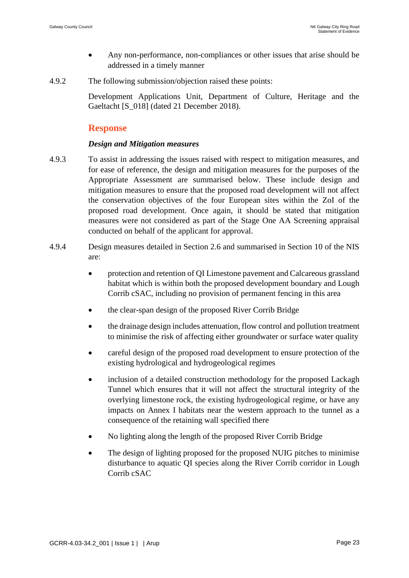- Any non-performance, non-compliances or other issues that arise should be addressed in a timely manner
- 4.9.2 The following submission/objection raised these points:

Development Applications Unit, Department of Culture, Heritage and the Gaeltacht [S\_018] (dated 21 December 2018).

### **Response**

### *Design and Mitigation measures*

- 4.9.3 To assist in addressing the issues raised with respect to mitigation measures, and for ease of reference, the design and mitigation measures for the purposes of the Appropriate Assessment are summarised below. These include design and mitigation measures to ensure that the proposed road development will not affect the conservation objectives of the four European sites within the ZoI of the proposed road development. Once again, it should be stated that mitigation measures were not considered as part of the Stage One AA Screening appraisal conducted on behalf of the applicant for approval.
- 4.9.4 Design measures detailed in Section 2.6 and summarised in Section 10 of the NIS are:
	- protection and retention of QI Limestone pavement and Calcareous grassland habitat which is within both the proposed development boundary and Lough Corrib cSAC, including no provision of permanent fencing in this area
	- the clear-span design of the proposed River Corrib Bridge
	- the drainage design includes attenuation, flow control and pollution treatment to minimise the risk of affecting either groundwater or surface water quality
	- careful design of the proposed road development to ensure protection of the existing hydrological and hydrogeological regimes
	- inclusion of a detailed construction methodology for the proposed Lackagh Tunnel which ensures that it will not affect the structural integrity of the overlying limestone rock, the existing hydrogeological regime, or have any impacts on Annex I habitats near the western approach to the tunnel as a consequence of the retaining wall specified there
	- No lighting along the length of the proposed River Corrib Bridge
	- The design of lighting proposed for the proposed NUIG pitches to minimise disturbance to aquatic QI species along the River Corrib corridor in Lough Corrib cSAC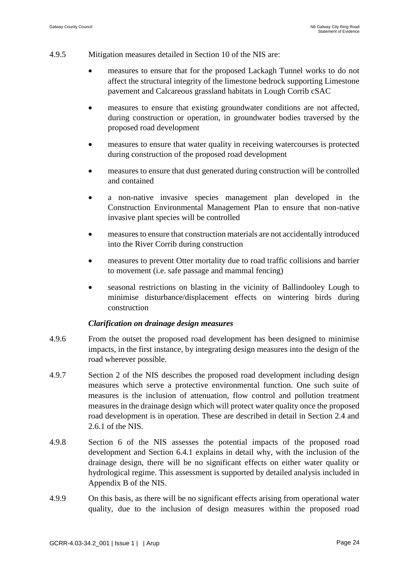- 4.9.5 Mitigation measures detailed in Section 10 of the NIS are:
	- measures to ensure that for the proposed Lackagh Tunnel works to do not affect the structural integrity of the limestone bedrock supporting Limestone pavement and Calcareous grassland habitats in Lough Corrib cSAC
	- measures to ensure that existing groundwater conditions are not affected, during construction or operation, in groundwater bodies traversed by the proposed road development
	- measures to ensure that water quality in receiving watercourses is protected during construction of the proposed road development
	- measures to ensure that dust generated during construction will be controlled and contained
	- a non-native invasive species management plan developed in the Construction Environmental Management Plan to ensure that non-native invasive plant species will be controlled
	- measures to ensure that construction materials are not accidentally introduced into the River Corrib during construction
	- measures to prevent Otter mortality due to road traffic collisions and barrier to movement (i.e. safe passage and mammal fencing)
	- seasonal restrictions on blasting in the vicinity of Ballindooley Lough to minimise disturbance/displacement effects on wintering birds during construction

### *Clarification on drainage design measures*

- 4.9.6 From the outset the proposed road development has been designed to minimise impacts, in the first instance, by integrating design measures into the design of the road wherever possible.
- 4.9.7 Section 2 of the NIS describes the proposed road development including design measures which serve a protective environmental function. One such suite of measures is the inclusion of attenuation, flow control and pollution treatment measures in the drainage design which will protect water quality once the proposed road development is in operation. These are described in detail in Section 2.4 and 2.6.1 of the NIS.
- 4.9.8 Section 6 of the NIS assesses the potential impacts of the proposed road development and Section 6.4.1 explains in detail why, with the inclusion of the drainage design, there will be no significant effects on either water quality or hydrological regime. This assessment is supported by detailed analysis included in Appendix B of the NIS.
- 4.9.9 On this basis, as there will be no significant effects arising from operational water quality, due to the inclusion of design measures within the proposed road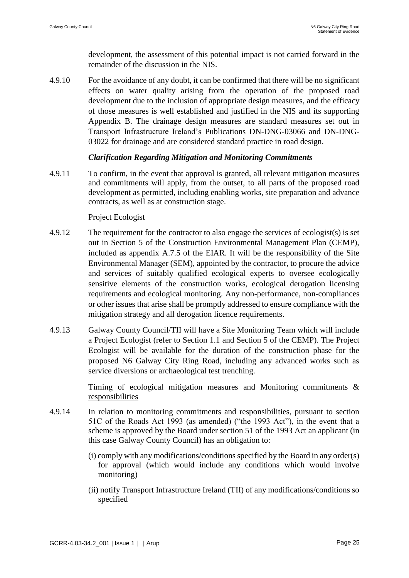development, the assessment of this potential impact is not carried forward in the remainder of the discussion in the NIS.

4.9.10 For the avoidance of any doubt, it can be confirmed that there will be no significant effects on water quality arising from the operation of the proposed road development due to the inclusion of appropriate design measures, and the efficacy of those measures is well established and justified in the NIS and its supporting Appendix B. The drainage design measures are standard measures set out in Transport Infrastructure Ireland's Publications DN-DNG-03066 and DN-DNG-03022 for drainage and are considered standard practice in road design.

### *Clarification Regarding Mitigation and Monitoring Commitments*

4.9.11 To confirm, in the event that approval is granted, all relevant mitigation measures and commitments will apply, from the outset, to all parts of the proposed road development as permitted, including enabling works, site preparation and advance contracts, as well as at construction stage.

#### Project Ecologist

- 4.9.12 The requirement for the contractor to also engage the services of ecologist(s) is set out in Section 5 of the Construction Environmental Management Plan (CEMP), included as appendix A.7.5 of the EIAR. It will be the responsibility of the Site Environmental Manager (SEM), appointed by the contractor, to procure the advice and services of suitably qualified ecological experts to oversee ecologically sensitive elements of the construction works, ecological derogation licensing requirements and ecological monitoring. Any non-performance, non-compliances or other issues that arise shall be promptly addressed to ensure compliance with the mitigation strategy and all derogation licence requirements.
- 4.9.13 Galway County Council/TII will have a Site Monitoring Team which will include a Project Ecologist (refer to Section 1.1 and Section 5 of the CEMP). The Project Ecologist will be available for the duration of the construction phase for the proposed N6 Galway City Ring Road, including any advanced works such as service diversions or archaeological test trenching.

Timing of ecological mitigation measures and Monitoring commitments & responsibilities

- 4.9.14 In relation to monitoring commitments and responsibilities, pursuant to section 51C of the Roads Act 1993 (as amended) ("the 1993 Act"), in the event that a scheme is approved by the Board under section 51 of the 1993 Act an applicant (in this case Galway County Council) has an obligation to:
	- (i) comply with any modifications/conditions specified by the Board in any order(s) for approval (which would include any conditions which would involve monitoring)
	- (ii) notify Transport Infrastructure Ireland (TII) of any modifications/conditions so specified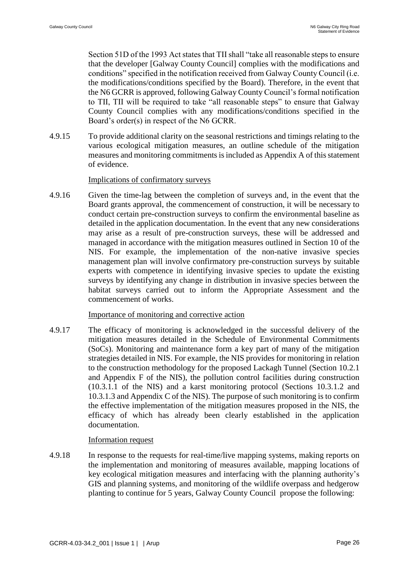Section 51D of the 1993 Act states that TII shall "take all reasonable steps to ensure that the developer [Galway County Council] complies with the modifications and conditions" specified in the notification received from Galway County Council (i.e. the modifications/conditions specified by the Board). Therefore, in the event that the N6 GCRR is approved, following Galway County Council's formal notification to TII, TII will be required to take "all reasonable steps" to ensure that Galway County Council complies with any modifications/conditions specified in the Board's order(s) in respect of the N6 GCRR.

4.9.15 To provide additional clarity on the seasonal restrictions and timings relating to the various ecological mitigation measures, an outline schedule of the mitigation measures and monitoring commitments is included as Appendix A of this statement of evidence.

#### Implications of confirmatory surveys

4.9.16 Given the time-lag between the completion of surveys and, in the event that the Board grants approval, the commencement of construction, it will be necessary to conduct certain pre-construction surveys to confirm the environmental baseline as detailed in the application documentation. In the event that any new considerations may arise as a result of pre-construction surveys, these will be addressed and managed in accordance with the mitigation measures outlined in Section 10 of the NIS. For example, the implementation of the non-native invasive species management plan will involve confirmatory pre-construction surveys by suitable experts with competence in identifying invasive species to update the existing surveys by identifying any change in distribution in invasive species between the habitat surveys carried out to inform the Appropriate Assessment and the commencement of works.

#### Importance of monitoring and corrective action

4.9.17 The efficacy of monitoring is acknowledged in the successful delivery of the mitigation measures detailed in the Schedule of Environmental Commitments (SoCs). Monitoring and maintenance form a key part of many of the mitigation strategies detailed in NIS. For example, the NIS provides for monitoring in relation to the construction methodology for the proposed Lackagh Tunnel (Section 10.2.1 and Appendix F of the NIS), the pollution control facilities during construction (10.3.1.1 of the NIS) and a karst monitoring protocol (Sections 10.3.1.2 and 10.3.1.3 and Appendix C of the NIS). The purpose of such monitoring is to confirm the effective implementation of the mitigation measures proposed in the NIS, the efficacy of which has already been clearly established in the application documentation.

#### Information request

4.9.18 In response to the requests for real-time/live mapping systems, making reports on the implementation and monitoring of measures available, mapping locations of key ecological mitigation measures and interfacing with the planning authority's GIS and planning systems, and monitoring of the wildlife overpass and hedgerow planting to continue for 5 years, Galway County Council propose the following: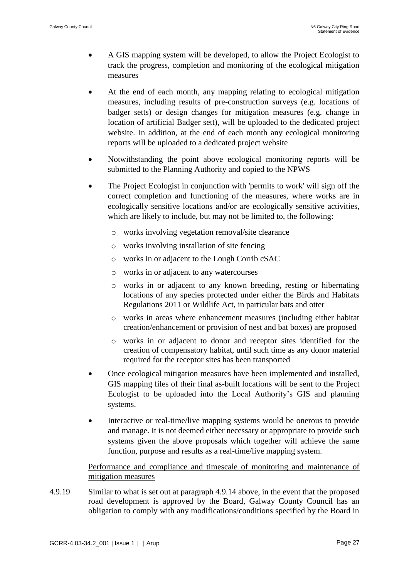- A GIS mapping system will be developed, to allow the Project Ecologist to track the progress, completion and monitoring of the ecological mitigation measures
- At the end of each month, any mapping relating to ecological mitigation measures, including results of pre-construction surveys (e.g. locations of badger setts) or design changes for mitigation measures (e.g. change in location of artificial Badger sett), will be uploaded to the dedicated project website. In addition, at the end of each month any ecological monitoring reports will be uploaded to a dedicated project website
- Notwithstanding the point above ecological monitoring reports will be submitted to the Planning Authority and copied to the NPWS
- The Project Ecologist in conjunction with 'permits to work' will sign off the correct completion and functioning of the measures, where works are in ecologically sensitive locations and/or are ecologically sensitive activities, which are likely to include, but may not be limited to, the following:
	- o works involving vegetation removal/site clearance
	- o works involving installation of site fencing
	- o works in or adjacent to the Lough Corrib cSAC
	- o works in or adjacent to any watercourses
	- o works in or adjacent to any known breeding, resting or hibernating locations of any species protected under either the Birds and Habitats Regulations 2011 or Wildlife Act, in particular bats and otter
	- o works in areas where enhancement measures (including either habitat creation/enhancement or provision of nest and bat boxes) are proposed
	- o works in or adjacent to donor and receptor sites identified for the creation of compensatory habitat, until such time as any donor material required for the receptor sites has been transported
- Once ecological mitigation measures have been implemented and installed, GIS mapping files of their final as-built locations will be sent to the Project Ecologist to be uploaded into the Local Authority's GIS and planning systems.
- Interactive or real-time/live mapping systems would be onerous to provide and manage. It is not deemed either necessary or appropriate to provide such systems given the above proposals which together will achieve the same function, purpose and results as a real-time/live mapping system.

### Performance and compliance and timescale of monitoring and maintenance of mitigation measures

4.9.19 Similar to what is set out at paragraph 4.9.14 above, in the event that the proposed road development is approved by the Board, Galway County Council has an obligation to comply with any modifications/conditions specified by the Board in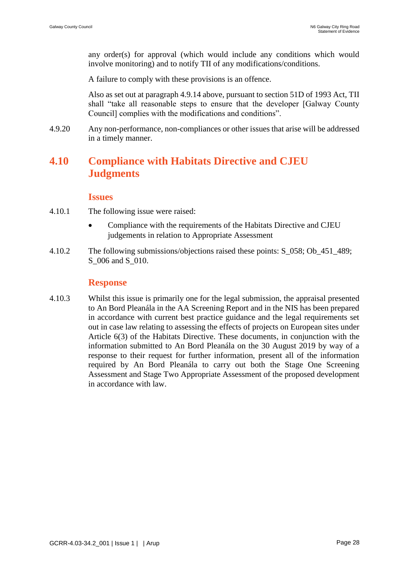any order(s) for approval (which would include any conditions which would involve monitoring) and to notify TII of any modifications/conditions.

A failure to comply with these provisions is an offence.

Also as set out at paragraph 4.9.14 above, pursuant to section 51D of 1993 Act, TII shall "take all reasonable steps to ensure that the developer [Galway County Council] complies with the modifications and conditions".

4.9.20 Any non-performance, non-compliances or other issues that arise will be addressed in a timely manner.

## **4.10 Compliance with Habitats Directive and CJEU Judgments**

#### **Issues**

- 4.10.1 The following issue were raised:
	- Compliance with the requirements of the Habitats Directive and CJEU judgements in relation to Appropriate Assessment
- 4.10.2 The following submissions/objections raised these points: S\_058; Ob\_451\_489; S 006 and S 010.

### **Response**

4.10.3 Whilst this issue is primarily one for the legal submission, the appraisal presented to An Bord Pleanála in the AA Screening Report and in the NIS has been prepared in accordance with current best practice guidance and the legal requirements set out in case law relating to assessing the effects of projects on European sites under Article 6(3) of the Habitats Directive. These documents, in conjunction with the information submitted to An Bord Pleanála on the 30 August 2019 by way of a response to their request for further information, present all of the information required by An Bord Pleanála to carry out both the Stage One Screening Assessment and Stage Two Appropriate Assessment of the proposed development in accordance with law.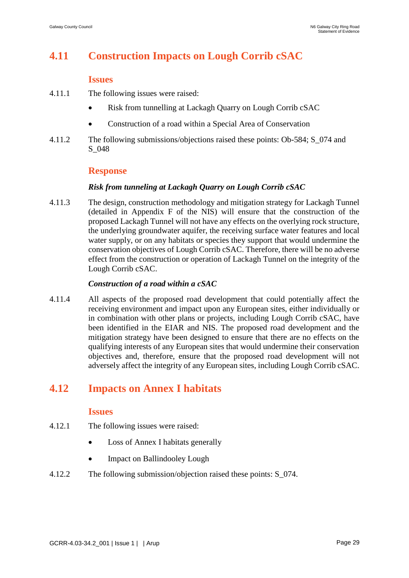# **4.11 Construction Impacts on Lough Corrib cSAC**

#### **Issues**

- 4.11.1 The following issues were raised:
	- Risk from tunnelling at Lackagh Quarry on Lough Corrib cSAC
	- Construction of a road within a Special Area of Conservation
- 4.11.2 The following submissions/objections raised these points: Ob-584; S\_074 and S\_048

### **Response**

### *Risk from tunneling at Lackagh Quarry on Lough Corrib cSAC*

4.11.3 The design, construction methodology and mitigation strategy for Lackagh Tunnel (detailed in Appendix F of the NIS) will ensure that the construction of the proposed Lackagh Tunnel will not have any effects on the overlying rock structure, the underlying groundwater aquifer, the receiving surface water features and local water supply, or on any habitats or species they support that would undermine the conservation objectives of Lough Corrib cSAC. Therefore, there will be no adverse effect from the construction or operation of Lackagh Tunnel on the integrity of the Lough Corrib cSAC.

### *Construction of a road within a cSAC*

4.11.4 All aspects of the proposed road development that could potentially affect the receiving environment and impact upon any European sites, either individually or in combination with other plans or projects, including Lough Corrib cSAC, have been identified in the EIAR and NIS. The proposed road development and the mitigation strategy have been designed to ensure that there are no effects on the qualifying interests of any European sites that would undermine their conservation objectives and, therefore, ensure that the proposed road development will not adversely affect the integrity of any European sites, including Lough Corrib cSAC.

## **4.12 Impacts on Annex I habitats**

### **Issues**

- 4.12.1 The following issues were raised:
	- Loss of Annex I habitats generally
	- Impact on Ballindooley Lough
- 4.12.2 The following submission/objection raised these points: S\_074.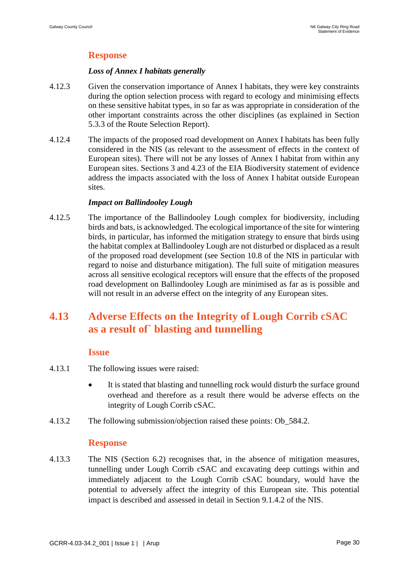## **Response**

### *Loss of Annex I habitats generally*

- 4.12.3 Given the conservation importance of Annex I habitats, they were key constraints during the option selection process with regard to ecology and minimising effects on these sensitive habitat types, in so far as was appropriate in consideration of the other important constraints across the other disciplines (as explained in Section 5.3.3 of the Route Selection Report).
- 4.12.4 The impacts of the proposed road development on Annex I habitats has been fully considered in the NIS (as relevant to the assessment of effects in the context of European sites). There will not be any losses of Annex I habitat from within any European sites. Sections 3 and 4.23 of the EIA Biodiversity statement of evidence address the impacts associated with the loss of Annex I habitat outside European sites.

### *Impact on Ballindooley Lough*

4.12.5 The importance of the Ballindooley Lough complex for biodiversity, including birds and bats, is acknowledged. The ecological importance of the site for wintering birds, in particular, has informed the mitigation strategy to ensure that birds using the habitat complex at Ballindooley Lough are not disturbed or displaced as a result of the proposed road development (see Section 10.8 of the NIS in particular with regard to noise and disturbance mitigation). The full suite of mitigation measures across all sensitive ecological receptors will ensure that the effects of the proposed road development on Ballindooley Lough are minimised as far as is possible and will not result in an adverse effect on the integrity of any European sites.

# **4.13 Adverse Effects on the Integrity of Lough Corrib cSAC as a result of` blasting and tunnelling**

### **Issue**

- 4.13.1 The following issues were raised:
	- It is stated that blasting and tunnelling rock would disturb the surface ground overhead and therefore as a result there would be adverse effects on the integrity of Lough Corrib cSAC.
- 4.13.2 The following submission/objection raised these points: Ob\_584.2.

### **Response**

4.13.3 The NIS (Section 6.2) recognises that, in the absence of mitigation measures, tunnelling under Lough Corrib cSAC and excavating deep cuttings within and immediately adjacent to the Lough Corrib cSAC boundary, would have the potential to adversely affect the integrity of this European site. This potential impact is described and assessed in detail in Section 9.1.4.2 of the NIS.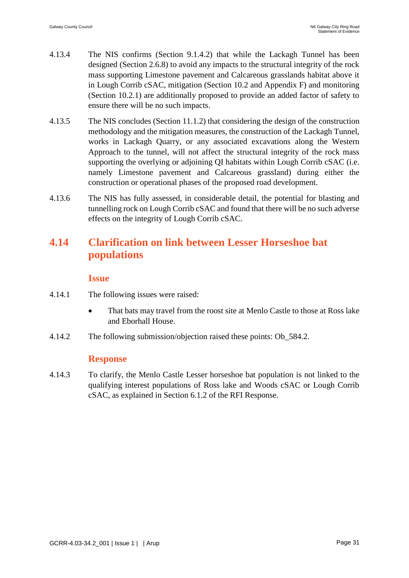- 4.13.4 The NIS confirms (Section 9.1.4.2) that while the Lackagh Tunnel has been designed (Section 2.6.8) to avoid any impacts to the structural integrity of the rock mass supporting Limestone pavement and Calcareous grasslands habitat above it in Lough Corrib cSAC, mitigation (Section 10.2 and Appendix F) and monitoring (Section 10.2.1) are additionally proposed to provide an added factor of safety to ensure there will be no such impacts.
- 4.13.5 The NIS concludes (Section 11.1.2) that considering the design of the construction methodology and the mitigation measures, the construction of the Lackagh Tunnel, works in Lackagh Quarry, or any associated excavations along the Western Approach to the tunnel, will not affect the structural integrity of the rock mass supporting the overlying or adjoining QI habitats within Lough Corrib cSAC (i.e. namely Limestone pavement and Calcareous grassland) during either the construction or operational phases of the proposed road development.
- 4.13.6 The NIS has fully assessed, in considerable detail, the potential for blasting and tunnelling rock on Lough Corrib cSAC and found that there will be no such adverse effects on the integrity of Lough Corrib cSAC.

## **4.14 Clarification on link between Lesser Horseshoe bat populations**

#### **Issue**

- 4.14.1 The following issues were raised:
	- That bats may travel from the roost site at Menlo Castle to those at Ross lake and Eborhall House.
- 4.14.2 The following submission/objection raised these points: Ob\_584.2.

### **Response**

4.14.3 To clarify, the Menlo Castle Lesser horseshoe bat population is not linked to the qualifying interest populations of Ross lake and Woods cSAC or Lough Corrib cSAC, as explained in Section 6.1.2 of the RFI Response.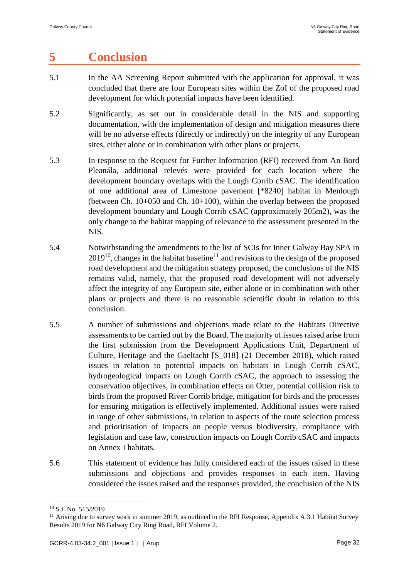# **5 Conclusion**

- 5.1 In the AA Screening Report submitted with the application for approval, it was concluded that there are four European sites within the ZoI of the proposed road development for which potential impacts have been identified.
- 5.2 Significantly, as set out in considerable detail in the NIS and supporting documentation, with the implementation of design and mitigation measures there will be no adverse effects (directly or indirectly) on the integrity of any European sites, either alone or in combination with other plans or projects.
- 5.3 In response to the Request for Further Information (RFI) received from An Bord Pleanála, additional relevés were provided for each location where the development boundary overlaps with the Lough Corrib cSAC. The identification of one additional area of Limestone pavement [\*8240] habitat in Menlough (between Ch. 10+050 and Ch. 10+100), within the overlap between the proposed development boundary and Lough Corrib cSAC (approximately 205m2), was the only change to the habitat mapping of relevance to the assessment presented in the NIS.
- 5.4 Notwithstanding the amendments to the list of SCIs for Inner Galway Bay SPA in  $2019^{10}$ , changes in the habitat baseline<sup>11</sup> and revisions to the design of the proposed road development and the mitigation strategy proposed, the conclusions of the NIS remains valid, namely, that the proposed road development will not adversely affect the integrity of any European site, either alone or in combination with other plans or projects and there is no reasonable scientific doubt in relation to this conclusion.
- 5.5 A number of submissions and objections made relate to the Habitats Directive assessments to be carried out by the Board. The majority of issues raised arise from the first submission from the Development Applications Unit, Department of Culture, Heritage and the Gaeltacht [S\_018] (21 December 2018), which raised issues in relation to potential impacts on habitats in Lough Corrib cSAC, hydrogeological impacts on Lough Corrib cSAC, the approach to assessing the conservation objectives, in combination effects on Otter, potential collision risk to birds from the proposed River Corrib bridge, mitigation for birds and the processes for ensuring mitigation is effectively implemented. Additional issues were raised in range of other submissions, in relation to aspects of the route selection process and prioritisation of impacts on people versus biodiversity, compliance with legislation and case law, construction impacts on Lough Corrib cSAC and impacts on Annex I habitats.
- 5.6 This statement of evidence has fully considered each of the issues raised in these submissions and objections and provides responses to each item. Having considered the issues raised and the responses provided, the conclusion of the NIS

<sup>1</sup> <sup>10</sup> S.I. No. 515/2019

<sup>&</sup>lt;sup>11</sup> Arising due to survey work in summer 2019, as outlined in the RFI Response, Appendix A.3.1 Habitat Survey Results 2019 for N6 Galway City Ring Road, RFI Volume 2.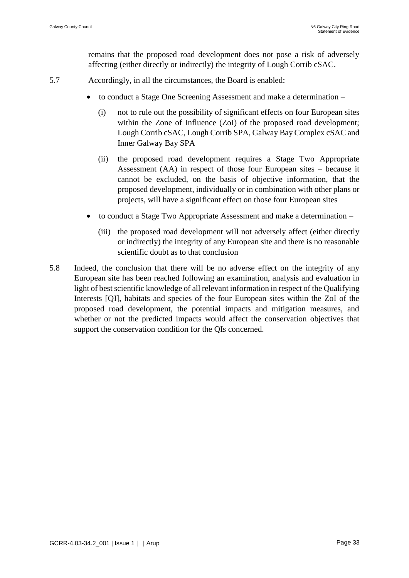remains that the proposed road development does not pose a risk of adversely affecting (either directly or indirectly) the integrity of Lough Corrib cSAC.

- 5.7 Accordingly, in all the circumstances, the Board is enabled:
	- to conduct a Stage One Screening Assessment and make a determination
		- (i) not to rule out the possibility of significant effects on four European sites within the Zone of Influence (ZoI) of the proposed road development; Lough Corrib cSAC, Lough Corrib SPA, Galway Bay Complex cSAC and Inner Galway Bay SPA
		- (ii) the proposed road development requires a Stage Two Appropriate Assessment (AA) in respect of those four European sites – because it cannot be excluded, on the basis of objective information, that the proposed development, individually or in combination with other plans or projects, will have a significant effect on those four European sites
	- to conduct a Stage Two Appropriate Assessment and make a determination
		- (iii) the proposed road development will not adversely affect (either directly or indirectly) the integrity of any European site and there is no reasonable scientific doubt as to that conclusion
- 5.8 Indeed, the conclusion that there will be no adverse effect on the integrity of any European site has been reached following an examination, analysis and evaluation in light of best scientific knowledge of all relevant information in respect of the Qualifying Interests [QI], habitats and species of the four European sites within the ZoI of the proposed road development, the potential impacts and mitigation measures, and whether or not the predicted impacts would affect the conservation objectives that support the conservation condition for the QIs concerned.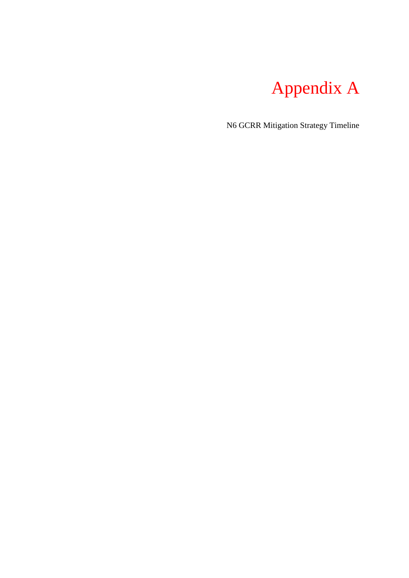

N6 GCRR Mitigation Strategy Timeline